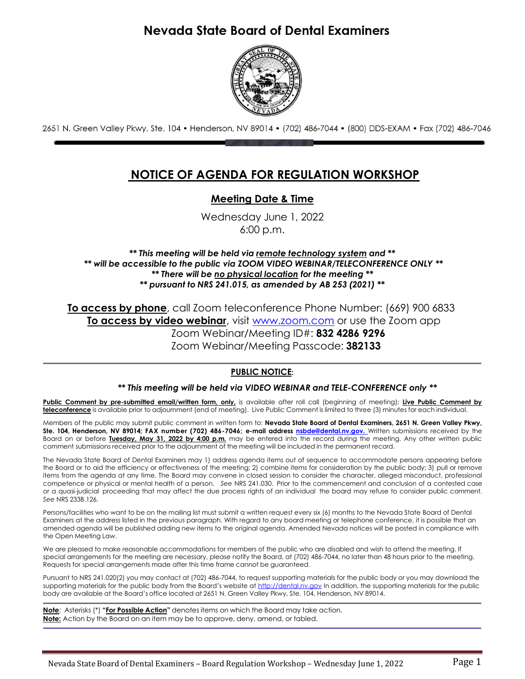# Nevada State Board of Dental Examiners



2651 N. Green Valley Pkwy, Ste. 104 • Henderson, NV 89014 • (702) 486-7044 • (800) DDS-EXAM • Fax (702) 486-7046

# **NOTICE OF AGENDA FOR REGULATION WORKSHOP**

# **Meeting Date & Time**

Wednesday June 1, 2022 6:00 p.m.

*\*\* This meeting will be held via remote technology system and \*\* \*\* will be accessible to the public via ZOOM VIDEO WEBINAR/TELECONFERENCE ONLY \*\* \*\* There will be no physical location for the meeting \*\* \*\* pursuant to NRS 241.015, as amended by AB 253 (2021) \*\**

**To access by phone**, call Zoom teleconference Phone Number: (669) 900 6833 **To access by video webinar**, visit [www.zoom.com](http://www.zoom.com/) or use the Zoom app Zoom Webinar/Meeting ID#: **832 4286 9296** Zoom Webinar/Meeting Passcode: **382133**

# **PUBLIC NOTICE:**

### *\*\* This meeting will be held via VIDEO WEBINAR and TELE-CONFERENCE only \*\**

**Public Comment by pre-submitted email/written form, only,** is available after roll call (beginning of meeting); **Live Public Comment by teleconference** is available prior to adjournment (end of meeting). Live Public Comment is limited to three (3) minutes for each individual.

Members of the public may submit public comment in written form to: **Nevada State Board of Dental Examiners, 2651 N. Green Valley Pkwy, Ste. 104, Henderson, NV 89014; FAX number (702) 486-7046; e-mail address [nsbde@dental.nv.gov.](mailto:nsbde@dental.nv.gov)** Written submissions received by the Board on or before **Tuesday, May 31, 2022 by 4:00 p.m.** may be entered into the record during the meeting. Any other written public comment submissions received prior to the adjournment of the meeting will be included in the permanent record.

The Nevada State Board of Dental Examiners may 1) address agenda items out of sequence to accommodate persons appearing before the Board or to aid the efficiency or effectiveness of the meeting; 2) combine items for consideration by the public body; 3) pull or remove items from the agenda at any time. The Board may convene in closed session to consider the character, alleged misconduct, professional competence or physical or mental health of a person. *See* NRS 241.030. Prior to the commencement and conclusion of a contested case or a quasi-judicial proceeding that may affect the due process rights of an individual the board may refuse to consider public comment. *See* NRS 233B.126.

Persons/facilities who want to be on the mailing list must submit a written request every six (6) months to the Nevada State Board of Dental Examiners at the address listed in the previous paragraph. With regard to any board meeting or telephone conference, it is possible that an amended agenda will be published adding new items to the original agenda. Amended Nevada notices will be posted in compliance with the Open Meeting Law.

We are pleased to make reasonable accommodations for members of the public who are disabled and wish to attend the meeting. If special arrangements for the meeting are necessary, please notify the Board, at (702) 486-7044, no later than 48 hours prior to the meeting. Requests for special arrangements made after this time frame cannot be guaranteed.

Pursuant to NRS 241.020(2) you may contact at (702) 486-7044, to request supporting materials for the public body or you may download the supporting materials for the public body from the Board's website at [http://dental.nv.gov](http://dental.nv.gov/) In addition, the supporting materials for the public body are available at the Board's office located at 2651 N. Green Valley Pkwy, Ste. 104, Henderson, NV 89014.

**Note**: Asterisks (\*) **"For Possible Action"** denotes items on which the Board may take action. **Note:** Action by the Board on an item may be to approve, deny, amend, or tabled.